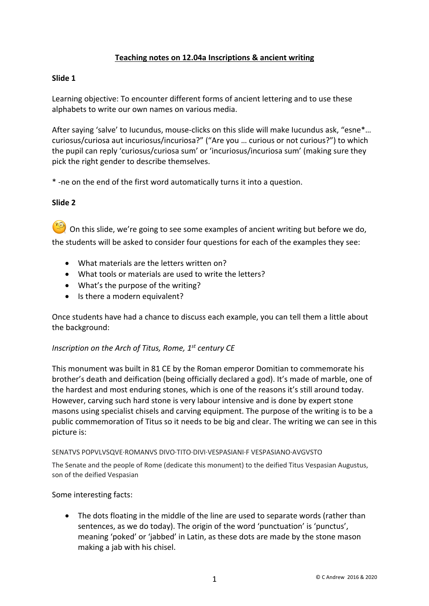# **Teaching notes on 12.04a Inscriptions & ancient writing**

## **Slide 1**

Learning objective: To encounter different forms of ancient lettering and to use these alphabets to write our own names on various media.

After saying 'salve' to Iucundus, mouse-clicks on this slide will make Iucundus ask, "esne\*… curiosus/curiosa aut incuriosus/incuriosa?" ("Are you … curious or not curious?") to which the pupil can reply 'curiosus/curiosa sum' or 'incuriosus/incuriosa sum' (making sure they pick the right gender to describe themselves.

\* -ne on the end of the first word automatically turns it into a question.

### **Slide 2**

On this slide, we're going to see some examples of ancient writing but before we do, the students will be asked to consider four questions for each of the examples they see:

- What materials are the letters written on?
- What tools or materials are used to write the letters?
- What's the purpose of the writing?
- Is there a modern equivalent?

Once students have had a chance to discuss each example, you can tell them a little about the background:

### *Inscription on the Arch of Titus, Rome, 1st century CE*

This monument was built in 81 CE by the Roman emperor Domitian to commemorate his brother's death and deification (being officially declared a god). It's made of marble, one of the hardest and most enduring stones, which is one of the reasons it's still around today. However, carving such hard stone is very labour intensive and is done by expert stone masons using specialist chisels and carving equipment. The purpose of the writing is to be a public commemoration of Titus so it needs to be big and clear. The writing we can see in this picture is:

#### SENATVS POPVLVSQVE·ROMANVS DIVO·TITO·DIVI·VESPASIANI·F VESPASIANO·AVGVSTO

The Senate and the people of Rome (dedicate this monument) to the deified Titus Vespasian Augustus, son of the deified Vespasian

#### Some interesting facts:

• The dots floating in the middle of the line are used to separate words (rather than sentences, as we do today). The origin of the word 'punctuation' is 'punctus', meaning 'poked' or 'jabbed' in Latin, as these dots are made by the stone mason making a jab with his chisel.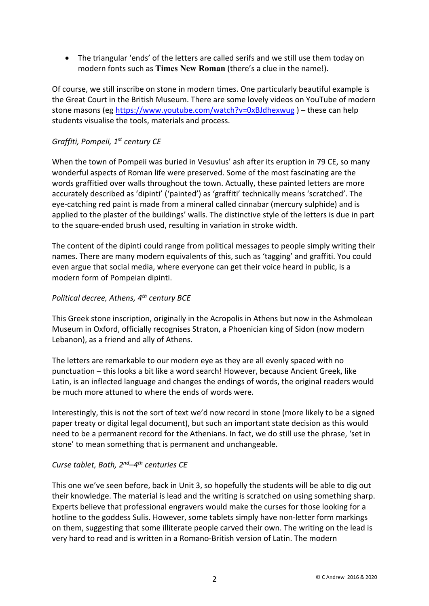• The triangular 'ends' of the letters are called serifs and we still use them today on modern fonts such as **Times New Roman** (there's a clue in the name!).

Of course, we still inscribe on stone in modern times. One particularly beautiful example is the Great Court in the British Museum. There are some lovely videos on YouTube of modern stone masons (eg https://www.youtube.com/watch?v=0xBJdhexwug ) – these can help students visualise the tools, materials and process.

# *Graffiti, Pompeii, 1st century CE*

When the town of Pompeii was buried in Vesuvius' ash after its eruption in 79 CE, so many wonderful aspects of Roman life were preserved. Some of the most fascinating are the words graffitied over walls throughout the town. Actually, these painted letters are more accurately described as 'dipinti' ('painted') as 'graffiti' technically means 'scratched'. The eye-catching red paint is made from a mineral called cinnabar (mercury sulphide) and is applied to the plaster of the buildings' walls. The distinctive style of the letters is due in part to the square-ended brush used, resulting in variation in stroke width.

The content of the dipinti could range from political messages to people simply writing their names. There are many modern equivalents of this, such as 'tagging' and graffiti. You could even argue that social media, where everyone can get their voice heard in public, is a modern form of Pompeian dipinti.

# *Political decree, Athens, 4th century BCE*

This Greek stone inscription, originally in the Acropolis in Athens but now in the Ashmolean Museum in Oxford, officially recognises Straton, a Phoenician king of Sidon (now modern Lebanon), as a friend and ally of Athens.

The letters are remarkable to our modern eye as they are all evenly spaced with no punctuation – this looks a bit like a word search! However, because Ancient Greek, like Latin, is an inflected language and changes the endings of words, the original readers would be much more attuned to where the ends of words were.

Interestingly, this is not the sort of text we'd now record in stone (more likely to be a signed paper treaty or digital legal document), but such an important state decision as this would need to be a permanent record for the Athenians. In fact, we do still use the phrase, 'set in stone' to mean something that is permanent and unchangeable.

# *Curse tablet, Bath, 2nd–4th centuries CE*

This one we've seen before, back in Unit 3, so hopefully the students will be able to dig out their knowledge. The material is lead and the writing is scratched on using something sharp. Experts believe that professional engravers would make the curses for those looking for a hotline to the goddess Sulis. However, some tablets simply have non-letter form markings on them, suggesting that some illiterate people carved their own. The writing on the lead is very hard to read and is written in a Romano-British version of Latin. The modern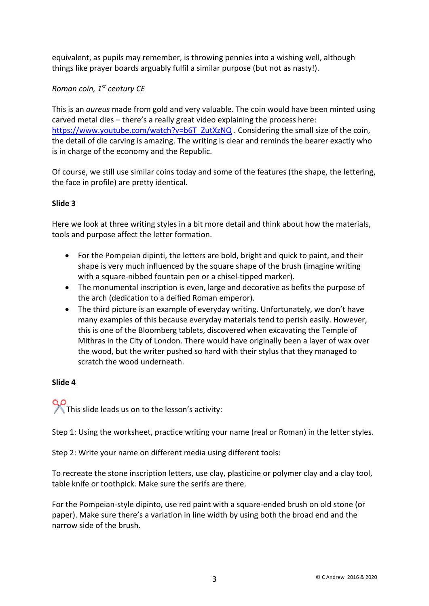equivalent, as pupils may remember, is throwing pennies into a wishing well, although things like prayer boards arguably fulfil a similar purpose (but not as nasty!).

# *Roman coin, 1st century CE*

This is an *aureus* made from gold and very valuable. The coin would have been minted using carved metal dies – there's a really great video explaining the process here: https://www.youtube.com/watch?v=b6T\_ZutXzNQ . Considering the small size of the coin, the detail of die carving is amazing. The writing is clear and reminds the bearer exactly who is in charge of the economy and the Republic.

Of course, we still use similar coins today and some of the features (the shape, the lettering, the face in profile) are pretty identical.

# **Slide 3**

Here we look at three writing styles in a bit more detail and think about how the materials, tools and purpose affect the letter formation.

- For the Pompeian dipinti, the letters are bold, bright and quick to paint, and their shape is very much influenced by the square shape of the brush (imagine writing with a square-nibbed fountain pen or a chisel-tipped marker).
- The monumental inscription is even, large and decorative as befits the purpose of the arch (dedication to a deified Roman emperor).
- The third picture is an example of everyday writing. Unfortunately, we don't have many examples of this because everyday materials tend to perish easily. However, this is one of the Bloomberg tablets, discovered when excavating the Temple of Mithras in the City of London. There would have originally been a layer of wax over the wood, but the writer pushed so hard with their stylus that they managed to scratch the wood underneath.

### **Slide 4**

✂This slide leads us on to the lesson's activity:

Step 1: Using the worksheet, practice writing your name (real or Roman) in the letter styles.

Step 2: Write your name on different media using different tools:

To recreate the stone inscription letters, use clay, plasticine or polymer clay and a clay tool, table knife or toothpick. Make sure the serifs are there.

For the Pompeian-style dipinto, use red paint with a square-ended brush on old stone (or paper). Make sure there's a variation in line width by using both the broad end and the narrow side of the brush.